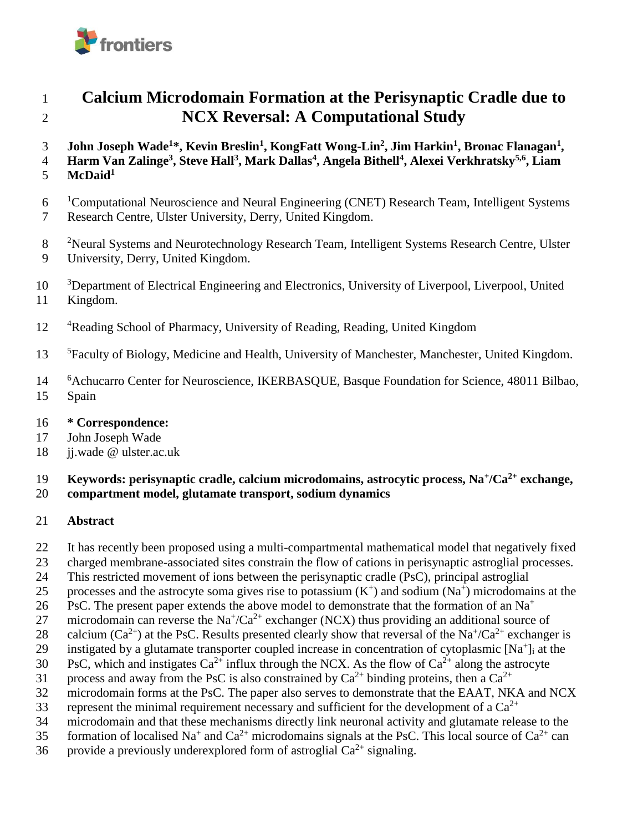

# 1 **Calcium Microdomain Formation at the Perisynaptic Cradle due to**  2 **NCX Reversal: A Computational Study**

- **John Joseph Wade<sup>1</sup>\*, Kevin Breslin<sup>1</sup> , KongFatt Wong-Lin<sup>2</sup> , Jim Harkin<sup>1</sup> , Bronac Flanagan<sup>1</sup>** 3 **,**
- **Harm Van Zalinge<sup>3</sup> , Steve Hall<sup>3</sup> , Mark Dallas<sup>4</sup> , Angela Bithell<sup>4</sup> , Alexei Verkhratsky5,6** 4 **, Liam**
- **McDaid<sup>1</sup>** 5
- 6 <sup>1</sup>Computational Neuroscience and Neural Engineering (CNET) Research Team, Intelligent Systems
- 7 Research Centre, Ulster University, Derry, United Kingdom.
- <sup>2</sup> Neural Systems and Neurotechnology Research Team, Intelligent Systems Research Centre, Ulster 9 University, Derry, United Kingdom.
- 10 <sup>3</sup>Department of Electrical Engineering and Electronics, University of Liverpool, Liverpool, United 11 Kingdom.
- 12 <sup>4</sup>Reading School of Pharmacy, University of Reading, Reading, United Kingdom
- <sup>5</sup> Faculty of Biology, Medicine and Health, University of Manchester, Manchester, United Kingdom.
- <sup>6</sup> Achucarro Center for Neuroscience, IKERBASQUE, Basque Foundation for Science, 48011 Bilbao, 15 Spain
- 16 **\* Correspondence:**
- 17 John Joseph Wade
- 18 ii.wade @ ulster.ac.uk

## 19 **Keywords: perisynaptic cradle, calcium microdomains, astrocytic process, Na<sup>+</sup>/Ca<sup>2+</sup> exchange,**

### 20 **compartment model, glutamate transport, sodium dynamics**

- 21 **Abstract**
- 22 It has recently been proposed using a multi-compartmental mathematical model that negatively fixed
- 23 charged membrane-associated sites constrain the flow of cations in perisynaptic astroglial processes.
- 24 This restricted movement of ions between the perisynaptic cradle (PsC), principal astroglial
- 25 processes and the astrocyte soma gives rise to potassium  $(K^+)$  and sodium  $(Na^+)$  microdomains at the
- PsC. The present paper extends the above model to demonstrate that the formation of an Na<sup>+</sup> 26
- 27 microdomain can reverse the  $Na^{\dagger}/Ca^{2+}$  exchanger (NCX) thus providing an additional source of
- 28 calcium (Ca<sup>2+</sup>) at the PsC. Results presented clearly show that reversal of the Na<sup>+</sup>/Ca<sup>2+</sup> exchanger is
- 29 instigated by a glutamate transporter coupled increase in concentration of cytoplasmic  $[Na^+]$  at the
- 30 PsC, which and instigates  $Ca^{2+}$  influx through the NCX. As the flow of  $Ca^{2+}$  along the astrocyte
- 31 process and away from the PsC is also constrained by  $Ca^{2+}$  binding proteins, then a  $Ca^{2+}$
- 32 microdomain forms at the PsC. The paper also serves to demonstrate that the EAAT, NKA and NCX
- 33 represent the minimal requirement necessary and sufficient for the development of a  $Ca^{2+}$
- 34 microdomain and that these mechanisms directly link neuronal activity and glutamate release to the
- 35 formation of localised Na<sup>+</sup> and Ca<sup>2+</sup> microdomains signals at the PsC. This local source of Ca<sup>2+</sup> can
- 36 provide a previously underexplored form of astroglial  $Ca^{2+}$  signaling.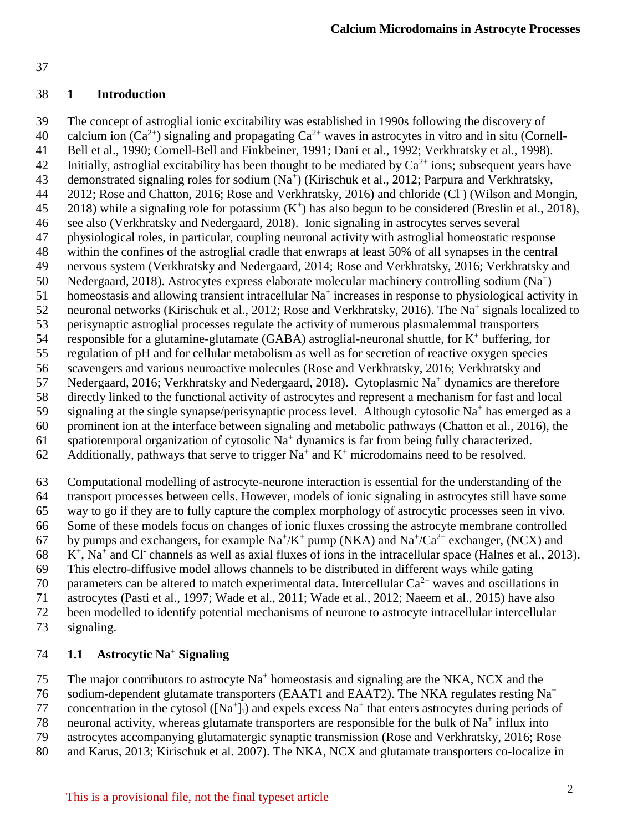### 37

## 38 **1 Introduction**

39 The concept of astroglial ionic excitability was established in 1990s following the discovery of 40 calcium ion  $(Ca^{2+})$  signaling and propagating  $Ca^{2+}$  waves in astrocytes in vitro and in situ (Cornell-41 Bell et al., 1990; Cornell-Bell and Finkbeiner, 1991; Dani et al., 1992; Verkhratsky et al., 1998). Initially, astroglial excitability has been thought to be mediated by  $Ca^{2+}$  ions; subsequent years have 43 demonstrated signaling roles for sodium (Na<sup>+</sup>) (Kirischuk et al., 2012; Parpura and Verkhratsky, 44 2012; Rose and Chatton, 2016; Rose and Verkhratsky, 2016) and chloride (Cl<sup>-</sup>) (Wilson and Mongin, 45 2018) while a signaling role for potassium  $(K^+)$  has also begun to be considered (Breslin et al., 2018), 46 see also (Verkhratsky and Nedergaard, 2018). Ionic signaling in astrocytes serves several 47 physiological roles, in particular, coupling neuronal activity with astroglial homeostatic response 48 within the confines of the astroglial cradle that enwraps at least 50% of all synapses in the central 49 nervous system (Verkhratsky and Nedergaard, 2014; Rose and Verkhratsky, 2016; Verkhratsky and 50 Nedergaard, 2018). Astrocytes express elaborate molecular machinery controlling sodium (Na<sup>+</sup>) 51 homeostasis and allowing transient intracellular  $Na<sup>+</sup>$  increases in response to physiological activity in 52 neuronal networks (Kirischuk et al., 2012; Rose and Verkhratsky, 2016). The Na<sup>+</sup> signals localized to 53 perisynaptic astroglial processes regulate the activity of numerous plasmalemmal transporters 54 responsible for a glutamine-glutamate (GABA) astroglial-neuronal shuttle, for  $K^+$  buffering, for 55 regulation of pH and for cellular metabolism as well as for secretion of reactive oxygen species 56 scavengers and various neuroactive molecules (Rose and Verkhratsky, 2016; Verkhratsky and 57 Nedergaard, 2016; Verkhratsky and Nedergaard, 2018). Cytoplasmic Na<sup>+</sup> dynamics are therefore

- 58 directly linked to the functional activity of astrocytes and represent a mechanism for fast and local
- 59 signaling at the single synapse/perisynaptic process level. Although cytosolic Na<sup>+</sup> has emerged as a
- 60 prominent ion at the interface between signaling and metabolic pathways (Chatton et al., 2016), the
- 61 spatiotemporal organization of cytosolic  $Na<sup>+</sup>$  dynamics is far from being fully characterized.
- 62 Additionally, pathways that serve to trigger  $Na<sup>+</sup>$  and  $K<sup>+</sup>$  microdomains need to be resolved.
- 63 Computational modelling of astrocyte-neurone interaction is essential for the understanding of the
- 64 transport processes between cells. However, models of ionic signaling in astrocytes still have some
- 65 way to go if they are to fully capture the complex morphology of astrocytic processes seen in vivo.
- 66 Some of these models focus on changes of ionic fluxes crossing the astrocyte membrane controlled
- 67 by pumps and exchangers, for example  $\text{Na}^+/K^+$  pump (NKA) and  $\text{Na}^+/\text{Ca}^{2+}$  exchanger, (NCX) and  $68$  K<sup>+</sup>, Na<sup>+</sup> and Cl<sup>-</sup> channels as well as axial fluxes of ions in the intracellular space (Halnes et al., 2013).
- 69 This electro-diffusive model allows channels to be distributed in different ways while gating
- 70 parameters can be altered to match experimental data. Intercellular  $Ca^{2+}$  waves and oscillations in
- 71 astrocytes (Pasti et al., 1997; Wade et al., 2011; Wade et al., 2012; Naeem et al., 2015) have also
- 72 been modelled to identify potential mechanisms of neurone to astrocyte intracellular intercellular
- 73 signaling.

# **1.1 Astrocytic Na<sup>+</sup>** 74 **Signaling**

The major contributors to astrocyte  $Na<sup>+</sup>$  homeostasis and signaling are the NKA, NCX and the

- sodium-dependent glutamate transporters (EAAT1 and EAAT2). The NKA regulates resting Na<sup>+</sup> 76
- 77 concentration in the cytosol  $([Na<sup>+</sup>]$ <sub>i</sub>) and expels excess Na<sup>+</sup> that enters astrocytes during periods of
- 78 neuronal activity, whereas glutamate transporters are responsible for the bulk of  $Na<sup>+</sup>$  influx into
- 79 astrocytes accompanying glutamatergic synaptic transmission (Rose and Verkhratsky, 2016; Rose
- 80 and Karus, 2013; Kirischuk et al. 2007). The NKA, NCX and glutamate transporters co-localize in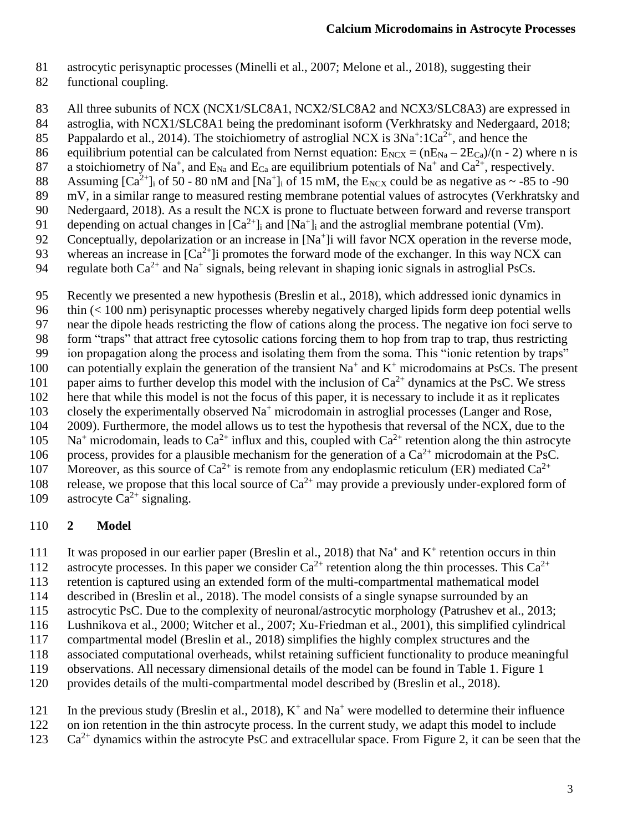- 81 astrocytic perisynaptic processes (Minelli et al., 2007; Melone et al., 2018), suggesting their
- 82 functional coupling.
- 83 All three subunits of NCX (NCX1/SLC8A1, NCX2/SLC8A2 and NCX3/SLC8A3) are expressed in
- 84 astroglia, with NCX1/SLC8A1 being the predominant isoform (Verkhratsky and Nedergaard, 2018;
- 85 Pappalardo et al., 2014). The stoichiometry of astroglial NCX is  $3Na^{+}$ :1Ca<sup>2+</sup>, and hence the
- 86 equilibrium potential can be calculated from Nernst equation:  $E_{NCX} = (nE_{Na} 2E_{Ca})/(n 2)$  where n is
- 87 a stoichiometry of Na<sup>+</sup>, and  $E_{Na}$  and  $E_{Ca}$  are equilibrium potentials of Na<sup>+</sup> and Ca<sup>2+</sup>, respectively.
- 88 Assuming  $[Ca^{2+}]\text{i}$  of 50 80 nM and  $[Na^+]\text{i}$  of 15 mM, the E<sub>NCX</sub> could be as negative as  $\sim$  -85 to -90
- 89 mV, in a similar range to measured resting membrane potential values of astrocytes (Verkhratsky and 90 Nedergaard, 2018). As a result the NCX is prone to fluctuate between forward and reverse transport
- 91 depending on actual changes in  $[Ca^{2+}]\text{i}$  and  $[Na^+]$  and the astroglial membrane potential (Vm).
- 92 Conceptually, depolarization or an increase in [Na<sup>+</sup>]i will favor NCX operation in the reverse mode,
- 93 whereas an increase in  $[Ca^{2+}]}$  promotes the forward mode of the exchanger. In this way NCX can
- 94 regulate both  $Ca^{2+}$  and Na<sup>+</sup> signals, being relevant in shaping ionic signals in astroglial PsCs.
- 95 Recently we presented a new hypothesis (Breslin et al., 2018), which addressed ionic dynamics in
- 96 thin (< 100 nm) perisynaptic processes whereby negatively charged lipids form deep potential wells
- 97 near the dipole heads restricting the flow of cations along the process. The negative ion foci serve to
- 98 form "traps" that attract free cytosolic cations forcing them to hop from trap to trap, thus restricting
- 99 ion propagation along the process and isolating them from the soma. This "ionic retention by traps"
- 100 can potentially explain the generation of the transient  $Na<sup>+</sup>$  and  $K<sup>+</sup>$  microdomains at PsCs. The present
- 101 paper aims to further develop this model with the inclusion of  $Ca^{2+}$  dynamics at the PsC. We stress
- 102 here that while this model is not the focus of this paper, it is necessary to include it as it replicates
- 103 closely the experimentally observed  $Na<sup>+</sup>$  microdomain in astroglial processes (Langer and Rose, 104 2009). Furthermore, the model allows us to test the hypothesis that reversal of the NCX, due to the
- $105$  Na<sup>+</sup> microdomain, leads to Ca<sup>2+</sup> influx and this, coupled with Ca<sup>2+</sup> retention along the thin astrocyte
- 106 process, provides for a plausible mechanism for the generation of a  $Ca^{2+}$  microdomain at the PsC.
- 107 Moreover, as this source of  $Ca^{2+}$  is remote from any endoplasmic reticulum (ER) mediated  $Ca^{2+}$
- 108 release, we propose that this local source of  $Ca^{2+}$  may provide a previously under-explored form of
- 109 astrocyte  $Ca^{2+}$  signaling.

### 110 **2 Model**

- 111 It was proposed in our earlier paper (Breslin et al., 2018) that  $Na^+$  and  $K^+$  retention occurs in thin
- 112 astrocyte processes. In this paper we consider  $Ca^{2+}$  retention along the thin processes. This  $Ca^{2+}$
- 113 retention is captured using an extended form of the multi-compartmental mathematical model
- 114 described in (Breslin et al., 2018). The model consists of a single synapse surrounded by an
- 115 astrocytic PsC. Due to the complexity of neuronal/astrocytic morphology (Patrushev et al., 2013;
- 116 Lushnikova et al., 2000; Witcher et al., 2007; Xu-Friedman et al., 2001), this simplified cylindrical
- 117 compartmental model (Breslin et al., 2018) simplifies the highly complex structures and the
- 118 associated computational overheads, whilst retaining sufficient functionality to produce meaningful
- 119 observations. All necessary dimensional details of the model can be found in Table 1. Figure 1
- 120 provides details of the multi-compartmental model described by (Breslin et al., 2018).
- 121 In the previous study (Breslin et al., 2018),  $K^+$  and  $Na^+$  were modelled to determine their influence
- 122 on ion retention in the thin astrocyte process. In the current study, we adapt this model to include
- $Ca^{2+}$  dynamics within the astrocyte PsC and extracellular space. From Figure 2, it can be seen that the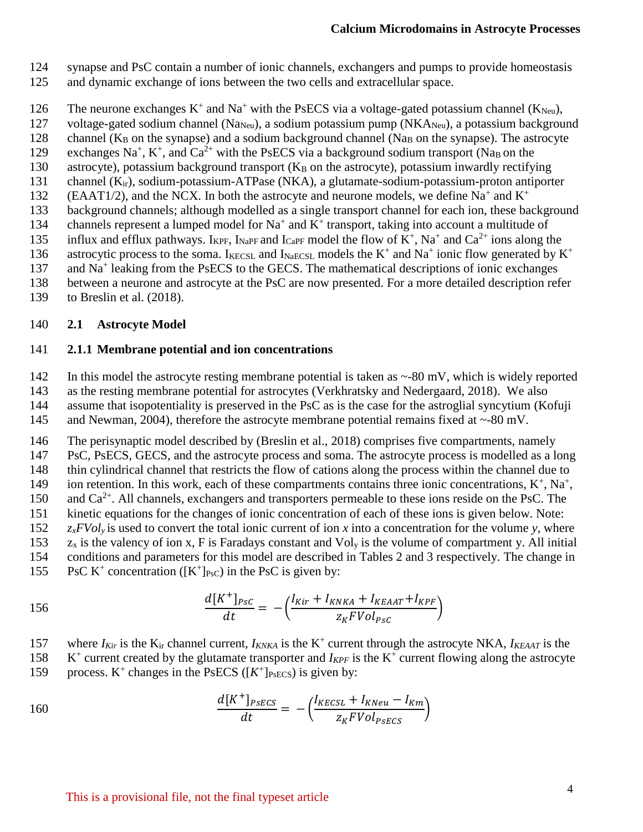- 124 synapse and PsC contain a number of ionic channels, exchangers and pumps to provide homeostasis
- 125 and dynamic exchange of ions between the two cells and extracellular space.
- 126 The neurone exchanges  $K^+$  and  $Na^+$  with the PsECS via a voltage-gated potassium channel ( $K_{Neu}$ ),
- 127 voltage-gated sodium channel (Na<sub>Neu</sub>), a sodium potassium pump (NKA<sub>Neu</sub>), a potassium background
- 128 channel ( $K_B$  on the synapse) and a sodium background channel (Na<sub>B</sub> on the synapse). The astrocyte
- 129 exchanges Na<sup>+</sup>, K<sup>+</sup>, and Ca<sup>2+</sup> with the PsECS via a background sodium transport (Na<sub>B</sub> on the
- 130 astrocyte), potassium background transport  $(K_B \text{ on the astrocyte})$ , potassium inwardly rectifying
- 131 channel (Kir), sodium-potassium-ATPase (NKA), a glutamate-sodium-potassium-proton antiporter
- (EAAT1/2), and the NCX. In both the astrocyte and neurone models, we define  $Na^+$  and  $K^+$ 132<br>133 background channels; although modelled as a single transport channel for each ion, these background
- 134 channels represent a lumped model for  $Na^+$  and  $K^+$  transport, taking into account a multitude of
- 135 influx and efflux pathways. I<sub>KPF</sub>, I<sub>NaPF</sub> and I<sub>CaPF</sub> model the flow of  $K^+$ , Na<sup>+</sup> and Ca<sup>2+</sup> ions along the
- astrocytic process to the soma. IKECSL and INAECSL models the  $K^+$  and Na<sup>+</sup> ionic flow generated by  $K^+$ 136
- 137 and Na<sup>+</sup> leaking from the PsECS to the GECS. The mathematical descriptions of ionic exchanges
- 138 between a neurone and astrocyte at the PsC are now presented. For a more detailed description refer
- 139 to Breslin et al. (2018).

## 140 **2.1 Astrocyte Model**

## 141 **2.1.1 Membrane potential and ion concentrations**

- 142 In this model the astrocyte resting membrane potential is taken as ~-80 mV, which is widely reported
- 143 as the resting membrane potential for astrocytes (Verkhratsky and Nedergaard, 2018). We also
- 144 assume that isopotentiality is preserved in the PsC as is the case for the astroglial syncytium (Kofuji
- 145 and Newman, 2004), therefore the astrocyte membrane potential remains fixed at ~-80 mV.

146 The perisynaptic model described by (Breslin et al., 2018) comprises five compartments, namely 147 PsC, PsECS, GECS, and the astrocyte process and soma. The astrocyte process is modelled as a long

148 thin cylindrical channel that restricts the flow of cations along the process within the channel due to

- 149 ion retention. In this work, each of these compartments contains three ionic concentrations,  $K^+$ ,  $Na^+$ ,
- 150 and  $Ca^{2+}$ . All channels, exchangers and transporters permeable to these ions reside on the PsC. The
- 151 kinetic equations for the changes of ionic concentration of each of these ions is given below. Note:
- 152 *zxFVoly* is used to convert the total ionic current of ion *x* into a concentration for the volume *y,* where
- 153  $z_x$  is the valency of ion x, F is Faradays constant and Vol<sub>y</sub> is the volume of compartment y. All initial
- 154 conditions and parameters for this model are described in Tables 2 and 3 respectively. The change in
- 155 PsC K<sup>+</sup> concentration ( $[K^+]_{PsC}$ ) in the PsC is given by:

$$
\frac{d[K^+]_{Psc}}{dt} = -\left(\frac{I_{Kir} + I_{KNKA} + I_{KEAAT} + I_{KPF}}{z_K FVol_{Psc}}\right)
$$

- 157 where  $I_{Kir}$  is the  $K_{ir}$  channel current,  $I_{KNKA}$  is the  $K^+$  current through the astrocyte NKA,  $I_{KEAAT}$  is the
- 158  $K^+$  current created by the glutamate transporter and  $I_{KPF}$  is the  $K^+$  current flowing along the astrocyte
- 159 process.  $K^+$  changes in the PsECS ( $[K^+]_{PSECS}$ ) is given by:

160 
$$
\frac{d[K^+]_{PSECS}}{dt} = -\left(\frac{I_{KECSL} + I_{KNeu} - I_{Km}}{Z_K F Vol_{PSECS}}\right)
$$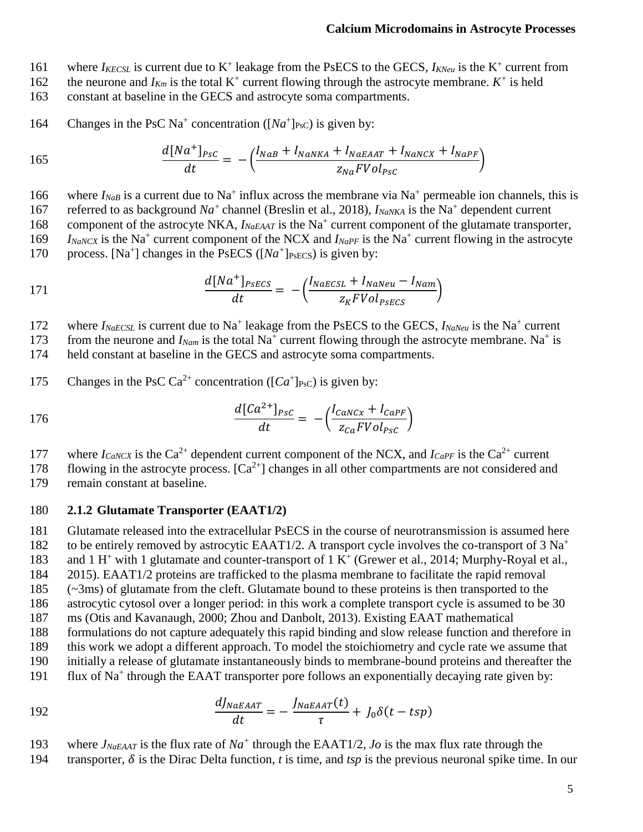- 161 where  $I_{KECSL}$  is current due to  $K^+$  leakage from the PsECS to the GECS,  $I_{KNeu}$  is the  $K^+$  current from
- 162 the neurone and  $I_{Km}$  is the total K<sup>+</sup> current flowing through the astrocyte membrane.  $K^+$  is held
- 163 constant at baseline in the GECS and astrocyte soma compartments.
- 164 Changes in the PsC Na<sup>+</sup> concentration ( $[Na^+]_{\text{PsC}}$ ) is given by:

165 
$$
\frac{d[Na^+]_{PSC}}{dt} = -\left(\frac{I_{NaB} + I_{NaNKA} + I_{NaEAAT} + I_{NaNCK} + I_{NaPF}}{z_{Na}FVol_{PSC}}\right)
$$

166 where  $I_{NaB}$  is a current due to Na<sup>+</sup> influx across the membrane via Na<sup>+</sup> permeable ion channels, this is 167 referred to as background  $Na^+$  channel (Breslin et al., 2018),  $I_{NaNKA}$  is the Na<sup>+</sup> dependent current 168 component of the astrocyte NKA, *I<sub>NaEAAT</sub>* is the Na<sup>+</sup> current component of the glutamate transporter,  $I_{NaNCX}$  is the Na<sup>+</sup> current component of the NCX and  $I_{NaPF}$  is the Na<sup>+</sup> current flowing in the astrocyte

170 process. [Na<sup>+</sup>] changes in the PsECS ( $[Na^+]_{PsECS}$ ) is given by:

$$
\frac{d[Na^+]_{PSECS}}{dt} = -\left(\frac{l_{NaECSL} + l_{NaNeu} - l_{Nam}}{z_K F Vol_{PSECS}}\right)
$$

172 where  $I_{NaECSL}$  is current due to Na<sup>+</sup> leakage from the PsECS to the GECS,  $I_{NaNeu}$  is the Na<sup>+</sup> current

173 from the neurone and  $I_{Nam}$  is the total Na<sup>+</sup> current flowing through the astrocyte membrane. Na<sup>+</sup> is

174 held constant at baseline in the GECS and astrocyte soma compartments.

175 Changes in the PsC Ca<sup>2+</sup> concentration ( $[Ca^+]_{\text{PsC}}$ ) is given by:

$$
\frac{d[Ca^{2+}]_{Psc}}{dt} = -\left(\frac{I_{CaNCx} + I_{CaPF}}{Z_{Ca}FVol_{Psc}}\right)
$$

177 where  $I_{CaNCX}$  is the Ca<sup>2+</sup> dependent current component of the NCX, and  $I_{CaPF}$  is the Ca<sup>2+</sup> current

flowing in the astrocyte process.  $[Ca^{2+}]$  changes in all other compartments are not considered and remain constant at baseline. remain constant at baseline.

#### 180 **2.1.2 Glutamate Transporter (EAAT1/2)**

181 Glutamate released into the extracellular PsECS in the course of neurotransmission is assumed here

to be entirely removed by astrocytic EAAT1/2. A transport cycle involves the co-transport of  $3 \text{ Na}^+$ 182

183 and 1 H<sup>+</sup> with 1 glutamate and counter-transport of 1 K<sup>+</sup> (Grewer et al., 2014; Murphy-Royal et al.,

184 2015). EAAT1/2 proteins are trafficked to the plasma membrane to facilitate the rapid removal

185 (~3ms) of glutamate from the cleft. Glutamate bound to these proteins is then transported to the

186 astrocytic cytosol over a longer period: in this work a complete transport cycle is assumed to be 30

187 ms (Otis and Kavanaugh, 2000; Zhou and Danbolt, 2013). Existing EAAT mathematical

188 formulations do not capture adequately this rapid binding and slow release function and therefore in

189 this work we adopt a different approach. To model the stoichiometry and cycle rate we assume that

- 190 initially a release of glutamate instantaneously binds to membrane-bound proteins and thereafter the
- 191 flux of Na<sup>+</sup> through the EAAT transporter pore follows an exponentially decaying rate given by:

192 
$$
\frac{dJ_{NaEAAT}}{dt} = -\frac{J_{NaEAAT}(t)}{\tau} + J_0 \delta(t - tsp)
$$

193 where  $J_{NaEAAT}$  is the flux rate of  $Na^+$  through the EAAT1/2, *Jo* is the max flux rate through the

194 transporter,  $\delta$  is the Dirac Delta function, *t* is time, and *tsp* is the previous neuronal spike time. In our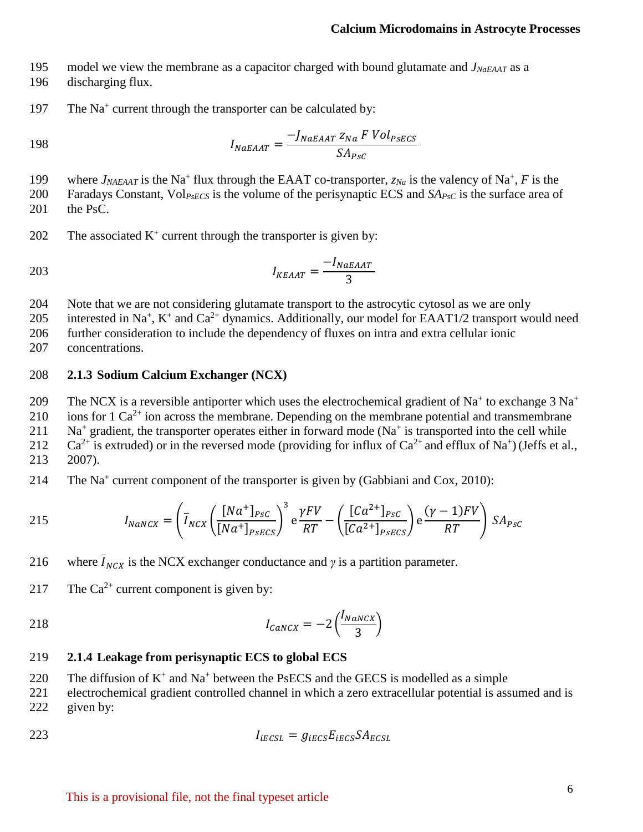195 model we view the membrane as a capacitor charged with bound glutamate and *JNaEAAT* as a

- 196 discharging flux.
- 197 The Na<sup>+</sup> current through the transporter can be calculated by:

$$
I_{NaEAAT} = \frac{-J_{NaEAAT} z_{Na} F Vol_{PSECS}}{SA_{PSC}}
$$

199 where  $J_{NAEAAT}$  is the Na<sup>+</sup> flux through the EAAT co-transporter,  $z_{Na}$  is the valency of Na<sup>+</sup>, F is the

200 Faradays Constant, Vol*PsECS* is the volume of the perisynaptic ECS and *SAPsC* is the surface area of 201 the PsC.

202 The associated  $K^+$  current through the transporter is given by:

$$
I_{KEAAT} = \frac{-I_{NaEAAT}}{3}
$$

204 Note that we are not considering glutamate transport to the astrocytic cytosol as we are only

205 interested in Na<sup>+</sup>, K<sup>+</sup> and Ca<sup>2+</sup> dynamics. Additionally, our model for EAAT1/2 transport would need

206 further consideration to include the dependency of fluxes on intra and extra cellular ionic 207 concentrations.

### 208 **2.1.3 Sodium Calcium Exchanger (NCX)**

The NCX is a reversible antiporter which uses the electrochemical gradient of Na<sup>+</sup> to exchange  $3 \text{ Na}^+$ 209

210 ions for 1  $Ca^{2+}$  ion across the membrane. Depending on the membrane potential and transmembrane

 $211$  Na<sup>+</sup> gradient, the transporter operates either in forward mode (Na<sup>+</sup> is transported into the cell while

212 Ca<sup>2+</sup> is extruded) or in the reversed mode (providing for influx of Ca<sup>2+</sup> and efflux of Na<sup>+</sup>) (Jeffs et al.,

- 213 2007).
- 214 The Na<sup>+</sup> current component of the transporter is given by (Gabbiani and Cox, 2010):

215 
$$
I_{NaNCX} = \left(\overline{I}_{NCX} \left(\frac{[Na^+]_{PSC}}{[Na^+]_{PSECS}}\right)^3 e \frac{\gamma FV}{RT} - \left(\frac{[Ca^{2+}]_{PSC}}{[Ca^{2+}]_{PSECS}}\right) e \frac{(\gamma - 1)FV}{RT}\right) SA_{PSC}
$$

- 216 where  $\overline{I}_{NCX}$  is the NCX exchanger conductance and *γ* is a partition parameter.
- 217 The  $Ca^{2+}$  current component is given by:

$$
I_{Cancx} = -2\left(\frac{I_{Nancx}}{3}\right)
$$

#### 219 **2.1.4 Leakage from perisynaptic ECS to global ECS**

220 The diffusion of  $K^+$  and  $Na^+$  between the PsECS and the GECS is modelled as a simple

221 electrochemical gradient controlled channel in which a zero extracellular potential is assumed and is 222 given by:

$$
I_{IECSL} = g_{IECS} E_{IECS} S A_{ECSL}
$$

This is a provisional file, not the final typeset article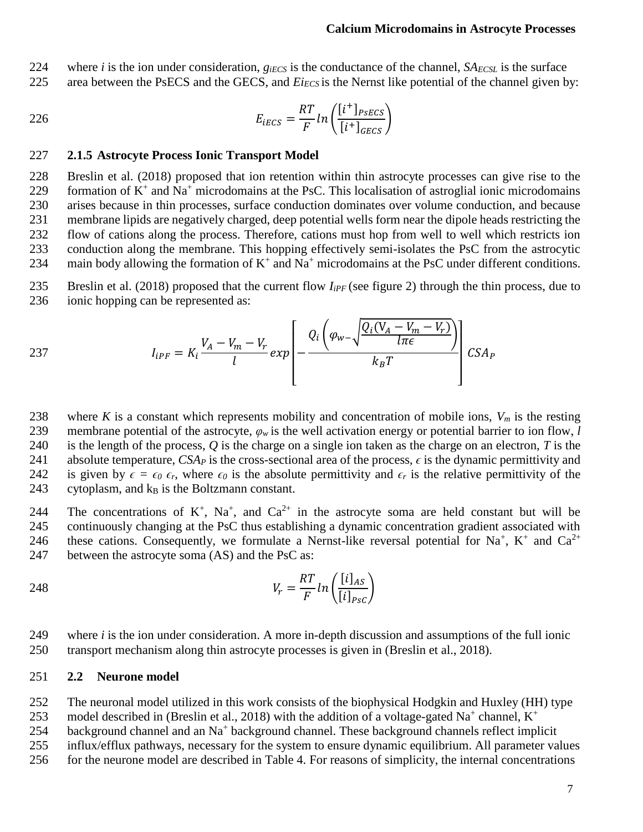224 where *i* is the ion under consideration,  $g_{iECS}$  is the conductance of the channel,  $SA_{ECSL}$  is the surface

225 area between the PsECS and the GECS, and *Ei<sub>ECS</sub>* is the Nernst like potential of the channel given by:

$$
E_{IECS} = \frac{RT}{F} \ln \left( \frac{[i^+]_{PSECS}}{[i^+]_{GECS}} \right)
$$

#### 227 **2.1.5 Astrocyte Process Ionic Transport Model**

 Breslin et al. (2018) proposed that ion retention within thin astrocyte processes can give rise to the 229 formation of  $K^+$  and  $Na^+$  microdomains at the PsC. This localisation of astroglial ionic microdomains arises because in thin processes, surface conduction dominates over volume conduction, and because membrane lipids are negatively charged, deep potential wells form near the dipole heads restricting the flow of cations along the process. Therefore, cations must hop from well to well which restricts ion conduction along the membrane. This hopping effectively semi-isolates the PsC from the astrocytic 234 main body allowing the formation of  $K^+$  and  $Na^+$  microdomains at the PsC under different conditions.

- 235 Breslin et al. (2018) proposed that the current flow *IiPF* (see figure 2) through the thin process, due to 236 ionic hopping can be represented as:
- 

$$
I_{iPF} = K_i \frac{V_A - V_m - V_r}{l} exp\left[-\frac{Q_i \left(\varphi_{w-1} \frac{Q_i (V_A - V_m - V_r)}{l \pi \epsilon}\right)}{k_B T}\right] CSA_P
$$

238 where *K* is a constant which represents mobility and concentration of mobile ions,  $V_m$  is the resting 239 membrane potential of the astrocyte,  $\varphi_w$  is the well activation energy or potential barrier to ion flow, *l* 240 is the length of the process, *Q* is the charge on a single ion taken as the charge on an electron, *T* is the 241 absolute temperature,  $CSA<sub>P</sub>$  is the cross-sectional area of the process,  $\epsilon$  is the dynamic permittivity and 242 is given by  $\epsilon = \epsilon_0 \epsilon_r$ , where  $\epsilon_0$  is the absolute permittivity and  $\epsilon_r$  is the relative permittivity of the 243 cytoplasm, and  $k_B$  is the Boltzmann constant.

244 The concentrations of  $K^+$ ,  $Na^+$ , and  $Ca^{2+}$  in the astrocyte soma are held constant but will be 245 continuously changing at the PsC thus establishing a dynamic concentration gradient associated with 246 these cations. Consequently, we formulate a Nernst-like reversal potential for Na<sup>+</sup>, K<sup>+</sup> and Ca<sup>2+</sup> 247 between the astrocyte soma (AS) and the PsC as:

$$
V_r = \frac{RT}{F} \ln \left( \frac{[i]_{AS}}{[i]_{PSC}} \right)
$$

249 where *i* is the ion under consideration. A more in-depth discussion and assumptions of the full ionic 250 transport mechanism along thin astrocyte processes is given in (Breslin et al., 2018).

#### 251 **2.2 Neurone model**

252 The neuronal model utilized in this work consists of the biophysical Hodgkin and Huxley (HH) type

model described in (Breslin et al., 2018) with the addition of a voltage-gated Na<sup>+</sup> channel,  $K^+$ 253

254 background channel and an Na<sup>+</sup> background channel. These background channels reflect implicit

255 influx/efflux pathways, necessary for the system to ensure dynamic equilibrium. All parameter values

256 for the neurone model are described in Table 4. For reasons of simplicity, the internal concentrations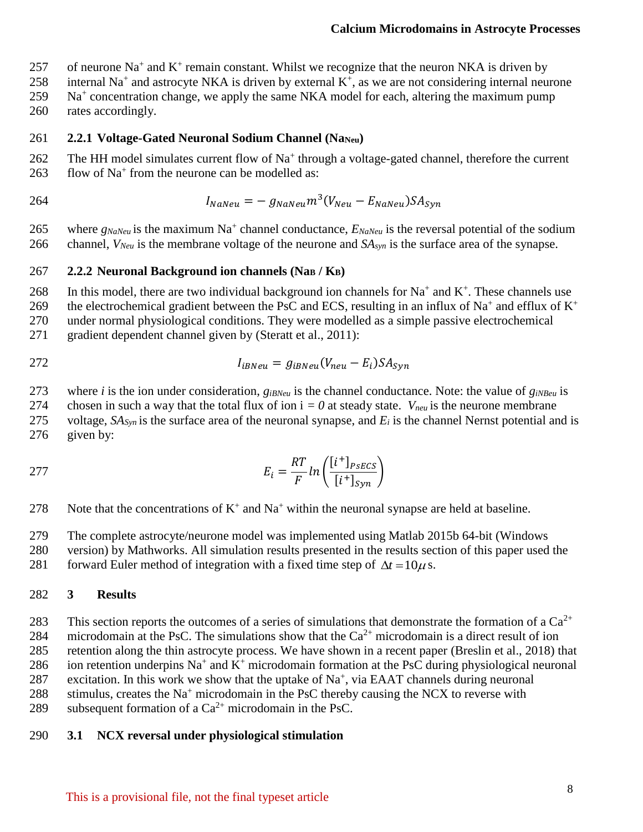257 of neurone Na<sup>+</sup> and K<sup>+</sup> remain constant. Whilst we recognize that the neuron NKA is driven by

258 internal Na<sup>+</sup> and astrocyte NKA is driven by external  $K^+$ , as we are not considering internal neurone

- 259 Na<sup>+</sup> concentration change, we apply the same NKA model for each, altering the maximum pump
- 260 rates accordingly.

### 261 **2.2.1 Voltage-Gated Neuronal Sodium Channel (Na**Neu)

- 262 The HH model simulates current flow of Na<sup>+</sup> through a voltage-gated channel, therefore the current 263 flow of  $Na<sup>+</sup>$  from the neurone can be modelled as:
- 

264  $I_{Nanieu} = -g_{Nanieu} m^3 (V_{Neu} - E_{Nanieu}) S A_{syn}$ 

265 where  $g_{NaNeu}$  is the maximum Na<sup>+</sup> channel conductance,  $E_{NaNeu}$  is the reversal potential of the sodium 266 channel, *VNeu* is the membrane voltage of the neurone and *SAsyn* is the surface area of the synapse.

### 267 **2.2.2 Neuronal Background ion channels (Na<sup>B</sup> / KB)**

268 In this model, there are two individual background ion channels for  $Na^+$  and  $K^+$ . These channels use

the electrochemical gradient between the PsC and ECS, resulting in an influx of Na<sup>+</sup> and efflux of  $K^+$ 269

270 under normal physiological conditions. They were modelled as a simple passive electrochemical

271 gradient dependent channel given by (Steratt et al., 2011):

$$
I_{iBNeu} = g_{iBNeu}(V_{neu} - E_i)SA_{syn}
$$

273 where *i* is the ion under consideration,  $g_{iBNeu}$  is the channel conductance. Note: the value of  $g_{iNBeu}$  is

274 chosen in such a way that the total flux of ion  $i = 0$  at steady state.  $V_{\text{neu}}$  is the neurone membrane

275 voltage,  $SA_{\text{Swi}}$  is the surface area of the neuronal synapse, and  $E_i$  is the channel Nernst potential and is 276 given by:

277 
$$
E_i = \frac{RT}{F} ln\left(\frac{[i^+]_{PSECS}}{[i^+]_{Syn}}\right)
$$

278 Note that the concentrations of  $K^+$  and Na<sup>+</sup> within the neuronal synapse are held at baseline.

279 The complete astrocyte/neurone model was implemented using Matlab 2015b 64-bit (Windows

280 version) by Mathworks. All simulation results presented in the results section of this paper used the

281 forward Euler method of integration with a fixed time step of  $\Delta t = 10 \mu$  s.

## 282 **3 Results**

283 This section reports the outcomes of a series of simulations that demonstrate the formation of a  $Ca^{2+}$ 

284 microdomain at the PsC. The simulations show that the  $Ca^{2+}$  microdomain is a direct result of ion 285 retention along the thin astrocyte process. We have shown in a recent paper (Breslin et al., 2018) that

286 ion retention underpins  $Na^+$  and  $K^+$  microdomain formation at the PsC during physiological neuronal

287 excitation. In this work we show that the uptake of  $Na<sup>+</sup>$ , via EAAT channels during neuronal

288 stimulus, creates the Na<sup>+</sup> microdomain in the PsC thereby causing the NCX to reverse with

289 subsequent formation of a  $Ca^{2+}$  microdomain in the PsC.

### 290 **3.1 NCX reversal under physiological stimulation**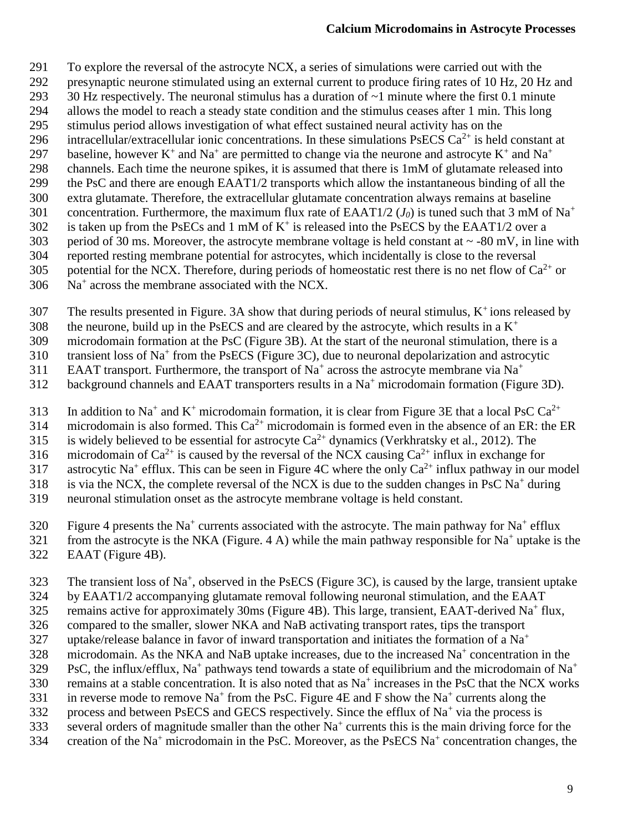- 291 To explore the reversal of the astrocyte NCX, a series of simulations were carried out with the
- 292 presynaptic neurone stimulated using an external current to produce firing rates of 10 Hz, 20 Hz and
- 293 30 Hz respectively. The neuronal stimulus has a duration of  $\sim$ 1 minute where the first 0.1 minute
- 294 allows the model to reach a steady state condition and the stimulus ceases after 1 min. This long
- 295 stimulus period allows investigation of what effect sustained neural activity has on the 296 intracellular/extracellular ionic concentrations. In these simulations PsECS  $Ca^{2+}$  is held constant at
- baseline, however  $K^+$  and  $Na^+$  are permitted to change via the neurone and astrocyte  $K^+$  and  $Na^+$ 297
- 298 channels. Each time the neurone spikes, it is assumed that there is 1mM of glutamate released into
- 299 the PsC and there are enough EAAT1/2 transports which allow the instantaneous binding of all the
- 300 extra glutamate. Therefore, the extracellular glutamate concentration always remains at baseline
- concentration. Furthermore, the maximum flux rate of EAAT1/2 ( $J_0$ ) is tuned such that 3 mM of Na<sup>+</sup> 301
- 302 is taken up from the PsECs and 1 mM of  $K^+$  is released into the PsECS by the EAAT1/2 over a
- 303 period of 30 ms. Moreover, the astrocyte membrane voltage is held constant at  $\sim$  -80 mV, in line with
- 304 reported resting membrane potential for astrocytes, which incidentally is close to the reversal
- 305 potential for the NCX. Therefore, during periods of homeostatic rest there is no net flow of  $Ca^{2+}$  or
- $306$  Na<sup>+</sup> across the membrane associated with the NCX.
- 307 The results presented in Figure. 3A show that during periods of neural stimulus,  $K^+$  ions released by
- 308 the neurone, build up in the PsECS and are cleared by the astrocyte, which results in a  $K^+$
- 309 microdomain formation at the PsC (Figure 3B). At the start of the neuronal stimulation, there is a transient loss of  $Na<sup>+</sup>$  from the PsECS (Figure 3C), due to neuronal depolarization and astrocytic
- 310 transient loss of Na<sup>+</sup> from the PsECS (Figure 3C), due to neuronal depolarization and astrocytic
- EAAT transport. Furthermore, the transport of Na<sup>+</sup> across the astrocyte membrane via Na<sup>+</sup> 311
- 312 background channels and EAAT transporters results in a  $Na<sup>+</sup>$  microdomain formation (Figure 3D).
- 313 In addition to Na<sup>+</sup> and K<sup>+</sup> microdomain formation, it is clear from Figure 3E that a local PsC Ca<sup>2+</sup>
- 314 microdomain is also formed. This  $Ca^{2+}$  microdomain is formed even in the absence of an ER: the ER
- 315 is widely believed to be essential for astrocyte  $Ca^{2+}$  dynamics (Verkhratsky et al., 2012). The
- 316 microdomain of  $Ca^{2+}$  is caused by the reversal of the NCX causing  $Ca^{2+}$  influx in exchange for
- 317 astrocytic Na<sup>+</sup> efflux. This can be seen in Figure 4C where the only  $Ca^{2+}$  influx pathway in our model
- 318 is via the NCX, the complete reversal of the NCX is due to the sudden changes in PsC Na<sup>+</sup> during
- 319 neuronal stimulation onset as the astrocyte membrane voltage is held constant.
- 320 Figure 4 presents the Na<sup>+</sup> currents associated with the astrocyte. The main pathway for Na<sup>+</sup> efflux
- 321 from the astrocyte is the NKA (Figure. 4 A) while the main pathway responsible for  $Na<sup>+</sup>$  uptake is the 322 EAAT (Figure 4B).
- 323 The transient loss of  $Na^+$ , observed in the PsECS (Figure 3C), is caused by the large, transient uptake
- 324 by EAAT1/2 accompanying glutamate removal following neuronal stimulation, and the EAAT
- 325 remains active for approximately 30ms (Figure 4B). This large, transient, EAAT-derived Na<sup>+</sup> flux,
- 326 compared to the smaller, slower NKA and NaB activating transport rates, tips the transport
- uptake/release balance in favor of inward transportation and initiates the formation of a  $Na<sup>+</sup>$ 327
- 328 microdomain. As the NKA and NaB uptake increases, due to the increased  $Na<sup>+</sup>$  concentration in the
- PsC, the influx/efflux, Na<sup>+</sup> pathways tend towards a state of equilibrium and the microdomain of Na<sup>+</sup> 329<br>330
- 330 remains at a stable concentration. It is also noted that as  $Na<sup>+</sup>$  increases in the PsC that the NCX works
- 331 in reverse mode to remove  $\text{Na}^+$  from the PsC. Figure 4E and F show the  $\text{Na}^+$  currents along the
- 332 process and between PsECS and GECS respectively. Since the efflux of  $Na<sup>+</sup>$  via the process is
- 333 several orders of magnitude smaller than the other  $Na<sup>+</sup>$  currents this is the main driving force for the 334 creation of the Na<sup>+</sup> microdomain in the PsC. Moreover, as the PsECS Na<sup>+</sup> concentration changes, the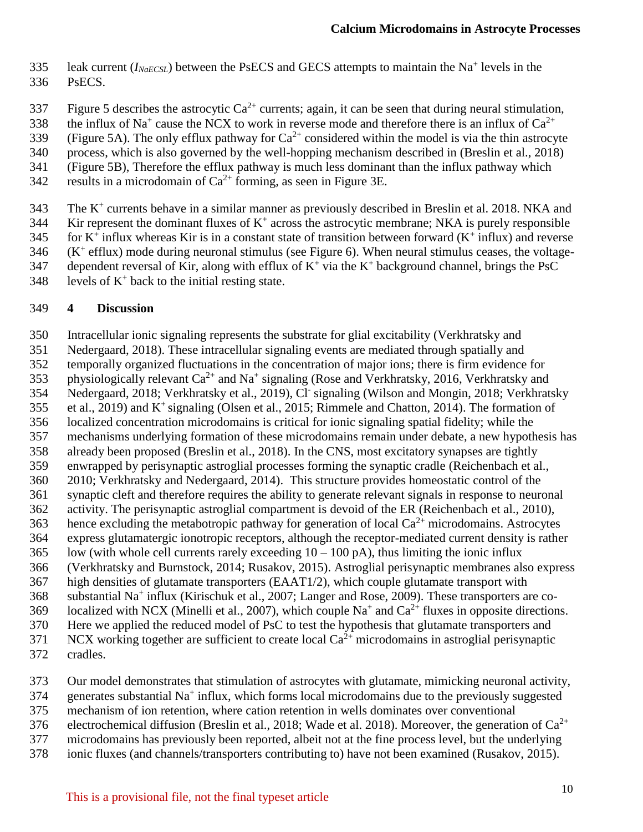- 335 leak current  $(I_{NaECSL})$  between the PsECS and GECS attempts to maintain the Na<sup>+</sup> levels in the 336 PsECS.
- Figure 5 describes the astrocytic  $Ca^{2+}$  currents; again, it can be seen that during neural stimulation,
- 338 the influx of Na<sup>+</sup> cause the NCX to work in reverse mode and therefore there is an influx of Ca<sup>2+</sup>
- (Figure 5A). The only efflux pathway for  $Ca^{2+}$  considered within the model is via the thin astrocyte
- 340 process, which is also governed by the well-hopping mechanism described in (Breslin et al., 2018)
- 341 (Figure 5B), Therefore the efflux pathway is much less dominant than the influx pathway which
- 342 results in a microdomain of  $Ca^{2+}$  forming, as seen in Figure 3E.
- 343 The K<sup>+</sup> currents behave in a similar manner as previously described in Breslin et al. 2018. NKA and
- $344$  Kir represent the dominant fluxes of K<sup>+</sup> across the astrocytic membrane; NKA is purely responsible
- 345 for  $K^+$  influx whereas Kir is in a constant state of transition between forward  $(K^+$  influx) and reverse
- $346$  (K<sup>+</sup> efflux) mode during neuronal stimulus (see Figure 6). When neural stimulus ceases, the voltage-
- 347 dependent reversal of Kir, along with efflux of  $K^+$  via the  $K^+$  background channel, brings the PsC
- 348 levels of  $K^+$  back to the initial resting state.

### 349 **4 Discussion**

- 350 Intracellular ionic signaling represents the substrate for glial excitability (Verkhratsky and
- 351 Nedergaard, 2018). These intracellular signaling events are mediated through spatially and
- 352 temporally organized fluctuations in the concentration of major ions; there is firm evidence for
- 353 physiologically relevant  $Ca^{2+}$  and Na<sup>+</sup> signaling (Rose and Verkhratsky, 2016, Verkhratsky and 354 Nedergaard, 2018; Verkhratsky et al., 2019), Cl signaling (Wilson and Mongin, 2018; Verkhratsky
- 355 et al., 2019) and  $K^+$  signaling (Olsen et al., 2015; Rimmele and Chatton, 2014). The formation of
- 356 localized concentration microdomains is critical for ionic signaling spatial fidelity; while the
- 357 mechanisms underlying formation of these microdomains remain under debate, a new hypothesis has
- 358 already been proposed (Breslin et al., 2018). In the CNS, most excitatory synapses are tightly<br>359 enwrapped by perisynaptic astroglial processes forming the synaptic cradle (Reichenbach et al. enwrapped by perisynaptic astroglial processes forming the synaptic cradle (Reichenbach et al.,
- 360 2010; Verkhratsky and Nedergaard, 2014). This structure provides homeostatic control of the
- 361 synaptic cleft and therefore requires the ability to generate relevant signals in response to neuronal
- 362 activity. The perisynaptic astroglial compartment is devoid of the ER (Reichenbach et al., 2010),
- 363 hence excluding the metabotropic pathway for generation of local  $Ca^{2+}$  microdomains. Astrocytes 364 express glutamatergic ionotropic receptors, although the receptor-mediated current density is rather
- $365$  low (with whole cell currents rarely exceeding  $10 100$  pA), thus limiting the ionic influx
- 366 (Verkhratsky and Burnstock, 2014; Rusakov, 2015). Astroglial perisynaptic membranes also express
- 367 high densities of glutamate transporters (EAAT1/2), which couple glutamate transport with
- 368 substantial Na<sup>+</sup> influx (Kirischuk et al., 2007; Langer and Rose, 2009). These transporters are co-
- 369 localized with NCX (Minelli et al., 2007), which couple  $Na^+$  and  $Ca^{2+}$  fluxes in opposite directions.
- 370 Here we applied the reduced model of PsC to test the hypothesis that glutamate transporters and
- $371$  NCX working together are sufficient to create local  $Ca^{2+}$  microdomains in astroglial perisynaptic
- 372 cradles.
- 373 Our model demonstrates that stimulation of astrocytes with glutamate, mimicking neuronal activity,
- 374 generates substantial Na<sup>+</sup> influx, which forms local microdomains due to the previously suggested
- 375 mechanism of ion retention, where cation retention in wells dominates over conventional
- 376 electrochemical diffusion (Breslin et al., 2018; Wade et al. 2018). Moreover, the generation of  $Ca^{2+}$
- 377 microdomains has previously been reported, albeit not at the fine process level, but the underlying
- 378 ionic fluxes (and channels/transporters contributing to) have not been examined (Rusakov, 2015).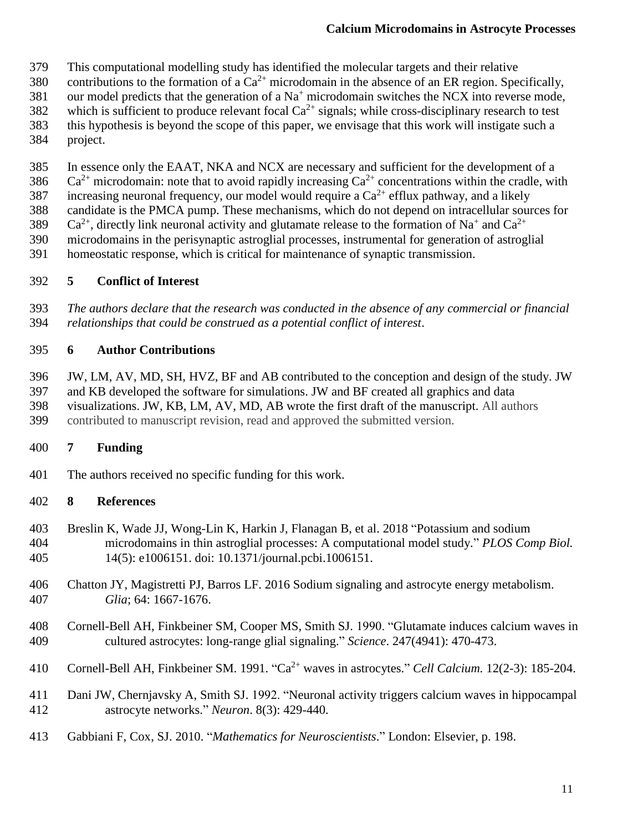- This computational modelling study has identified the molecular targets and their relative
- 380 contributions to the formation of a  $Ca^{2+}$  microdomain in the absence of an ER region. Specifically,
- 381 our model predicts that the generation of a  $Na<sup>+</sup>$  microdomain switches the NCX into reverse mode,
- 382 which is sufficient to produce relevant focal  $Ca^{2+}$  signals; while cross-disciplinary research to test
- this hypothesis is beyond the scope of this paper, we envisage that this work will instigate such a project.
- In essence only the EAAT, NKA and NCX are necessary and sufficient for the development of a
- 386 Ca<sup>2+</sup> microdomain: note that to avoid rapidly increasing  $Ca^{2+}$  concentrations within the cradle, with
- 387 increasing neuronal frequency, our model would require a  $Ca^{2+}$  efflux pathway, and a likely
- candidate is the PMCA pump. These mechanisms, which do not depend on intracellular sources for
- 389 Ca<sup>2+</sup>, directly link neuronal activity and glutamate release to the formation of Na<sup>+</sup> and Ca<sup>2+</sup>
- microdomains in the perisynaptic astroglial processes, instrumental for generation of astroglial
- homeostatic response, which is critical for maintenance of synaptic transmission.

## **5 Conflict of Interest**

 *The authors declare that the research was conducted in the absence of any commercial or financial relationships that could be construed as a potential conflict of interest*.

## **6 Author Contributions**

- JW, LM, AV, MD, SH, HVZ, BF and AB contributed to the conception and design of the study. JW
- and KB developed the software for simulations. JW and BF created all graphics and data visualizations. JW, KB, LM, AV, MD, AB wrote the first draft of the manuscript. All authors
- contributed to manuscript revision, read and approved the submitted version.

# **7 Funding**

The authors received no specific funding for this work.

## **8 References**

- Breslin K, Wade JJ, Wong-Lin K, Harkin J, Flanagan B, et al. 2018 "Potassium and sodium microdomains in thin astroglial processes: A computational model study." *PLOS Comp Biol.* 14(5): e1006151. doi: 10.1371/journal.pcbi.1006151.
- Chatton JY, Magistretti PJ, Barros LF. 2016 Sodium signaling and astrocyte energy metabolism. *Glia*; 64: 1667-1676.
- Cornell-Bell AH, Finkbeiner SM, Cooper MS, Smith SJ. 1990. "Glutamate induces calcium waves in cultured astrocytes: long-range glial signaling." *Science*. 247(4941): 470-473.
- 410 Cornell-Bell AH, Finkbeiner SM. 1991. "Ca<sup>2+</sup> waves in astrocytes." *Cell Calcium.* 12(2-3): 185-204.
- Dani JW, Chernjavsky A, Smith SJ. 1992. "Neuronal activity triggers calcium waves in hippocampal astrocyte networks." *Neuron*. 8(3): 429-440.
- Gabbiani F, Cox, SJ. 2010. "*Mathematics for Neuroscientists*." London: Elsevier, p. 198.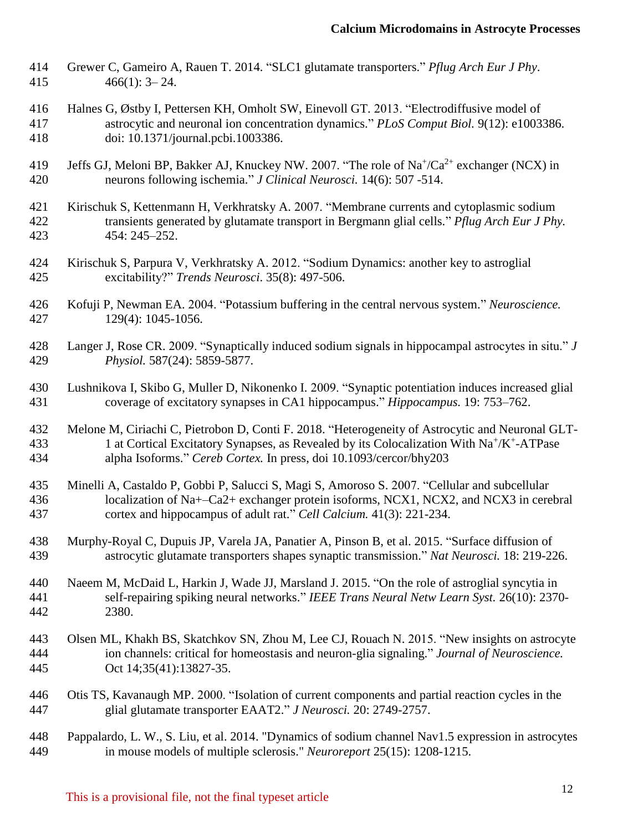- Grewer C, Gameiro A, Rauen T. 2014. "SLC1 glutamate transporters." *Pflug Arch Eur J Phy*. 466(1): 3– 24.
- Halnes G, Østby I, Pettersen KH, Omholt SW, Einevoll GT. 2013. "Electrodiffusive model of astrocytic and neuronal ion concentration dynamics." *PLoS Comput Biol.* 9(12): e1003386. doi: 10.1371/journal.pcbi.1003386.
- 419 Jeffs GJ, Meloni BP, Bakker AJ, Knuckey NW. 2007. "The role of Na<sup>+</sup>/Ca<sup>2+</sup> exchanger (NCX) in neurons following ischemia." *J Clinical Neurosci.* 14(6): 507 -514.
- Kirischuk S, Kettenmann H, Verkhratsky A. 2007. "Membrane currents and cytoplasmic sodium transients generated by glutamate transport in Bergmann glial cells." *Pflug Arch Eur J Phy.* 454: 245–252.
- Kirischuk S, Parpura V, Verkhratsky A. 2012. "Sodium Dynamics: another key to astroglial excitability?" *Trends Neurosci*. 35(8): 497-506.
- Kofuji P, Newman EA. 2004. "Potassium buffering in the central nervous system." *Neuroscience.*  129(4): 1045-1056.
- Langer J, Rose CR. 2009. "Synaptically induced sodium signals in hippocampal astrocytes in situ." *J Physiol.* 587(24): 5859-5877.
- Lushnikova I, Skibo G, Muller D, Nikonenko I. 2009. "Synaptic potentiation induces increased glial coverage of excitatory synapses in CA1 hippocampus." *Hippocampus.* 19: 753–762.
- Melone M, Ciriachi C, Pietrobon D, Conti F. 2018. "Heterogeneity of Astrocytic and Neuronal GLT-433 1 at Cortical Excitatory Synapses, as Revealed by its Colocalization With Na<sup>+</sup>/K<sup>+</sup>-ATPase alpha Isoforms." *Cereb Cortex.* In press, doi 10.1093/cercor/bhy203
- Minelli A, Castaldo P, Gobbi P, Salucci S, Magi S, Amoroso S. 2007. "Cellular and subcellular localization of Na+–Ca2+ exchanger protein isoforms, NCX1, NCX2, and NCX3 in cerebral cortex and hippocampus of adult rat." *Cell Calcium.* 41(3): 221-234.
- Murphy-Royal C, Dupuis JP, Varela JA, Panatier A, Pinson B, et al. 2015. "Surface diffusion of astrocytic glutamate transporters shapes synaptic transmission." *Nat Neurosci.* 18: 219-226.
- Naeem M, McDaid L, Harkin J, Wade JJ, Marsland J. 2015. "On the role of astroglial syncytia in self-repairing spiking neural networks." *IEEE Trans Neural Netw Learn Syst.* 26(10): 2370- 2380.
- Olsen ML, Khakh BS, Skatchkov SN, Zhou M, Lee CJ, Rouach N. 2015. "New insights on astrocyte ion channels: critical for homeostasis and neuron-glia signaling." *Journal of Neuroscience.*  Oct 14;35(41):13827-35.
- Otis TS, Kavanaugh MP. 2000. "Isolation of current components and partial reaction cycles in the glial glutamate transporter EAAT2." *J Neurosci.* 20: 2749-2757.
- Pappalardo, L. W., S. Liu, et al. 2014. "Dynamics of sodium channel Nav1.5 expression in astrocytes in mouse models of multiple sclerosis." *Neuroreport* 25(15): 1208-1215.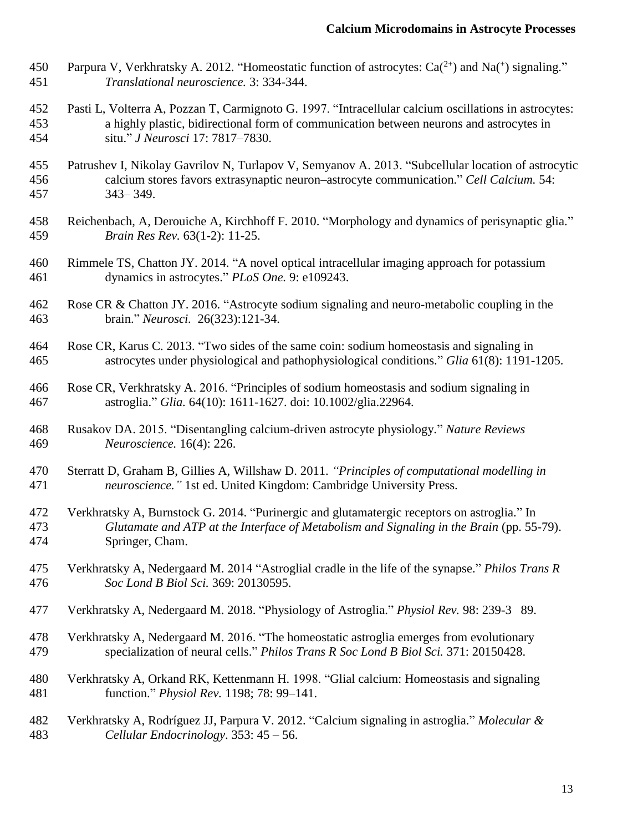- 450 Parpura V, Verkhratsky A. 2012. "Homeostatic function of astrocytes:  $Ca^{(2+)}$  and Na(<sup>+</sup>) signaling." *Translational neuroscience.* 3: 334-344.
- Pasti L, Volterra A, Pozzan T, Carmignoto G. 1997. "Intracellular calcium oscillations in astrocytes: a highly plastic, bidirectional form of communication between neurons and astrocytes in situ." *J Neurosci* 17: 7817–7830.
- Patrushev I, Nikolay Gavrilov N, Turlapov V, Semyanov A. 2013. "Subcellular location of astrocytic calcium stores favors extrasynaptic neuron–astrocyte communication." *Cell Calcium.* 54: 343– 349.
- Reichenbach, A, Derouiche A, Kirchhoff F. 2010. "Morphology and dynamics of perisynaptic glia." *Brain Res Rev.* 63(1-2): 11-25.
- Rimmele TS, Chatton JY. 2014. "A novel optical intracellular imaging approach for potassium dynamics in astrocytes." *PLoS One.* 9: e109243.
- Rose CR & Chatton JY. 2016. "Astrocyte sodium signaling and neuro-metabolic coupling in the brain." *Neurosci.* 26(323):121-34.
- Rose CR, Karus C. 2013. "Two sides of the same coin: sodium homeostasis and signaling in astrocytes under physiological and pathophysiological conditions." *Glia* 61(8): 1191-1205.
- Rose CR, Verkhratsky A. 2016. "Principles of sodium homeostasis and sodium signaling in astroglia." *Glia.* 64(10): 1611-1627. doi: 10.1002/glia.22964.
- Rusakov DA. 2015. "Disentangling calcium-driven astrocyte physiology." *Nature Reviews Neuroscience.* 16(4): 226.
- Sterratt D, Graham B, Gillies A, Willshaw D. 2011. *"Principles of computational modelling in neuroscience."* 1st ed. United Kingdom: Cambridge University Press.
- Verkhratsky A, Burnstock G. 2014. "Purinergic and glutamatergic receptors on astroglia." In *Glutamate and ATP at the Interface of Metabolism and Signaling in the Brain* (pp. 55-79). Springer, Cham.
- Verkhratsky A, Nedergaard M. 2014 "Astroglial cradle in the life of the synapse." *Philos Trans R Soc Lond B Biol Sci.* 369: 20130595.
- Verkhratsky A, Nedergaard M. 2018. "Physiology of Astroglia." *Physiol Rev.* 98: 239-3 89.
- Verkhratsky A, Nedergaard M. 2016. "The homeostatic astroglia emerges from evolutionary specialization of neural cells." *Philos Trans R Soc Lond B Biol Sci.* 371: 20150428.
- Verkhratsky A, Orkand RK, Kettenmann H. 1998. "Glial calcium: Homeostasis and signaling function." *Physiol Rev.* 1198; 78: 99–141.
- Verkhratsky A, Rodríguez JJ, Parpura V. 2012. "Calcium signaling in astroglia." *Molecular & Cellular Endocrinology*. 353: 45 – 56.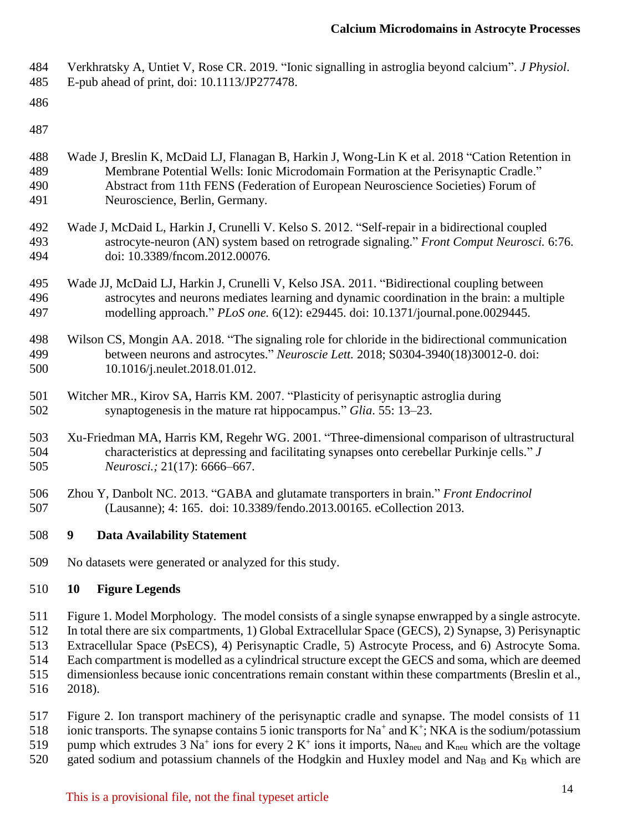Verkhratsky A, Untiet V, Rose CR. 2019. "Ionic signalling in astroglia beyond calcium". *J Physiol*.

- E-pub ahead of print, doi: 10.1113/JP277478.
- 
- 
- Wade J, Breslin K, McDaid LJ, Flanagan B, Harkin J, Wong-Lin K et al. 2018 "Cation Retention in Membrane Potential Wells: Ionic Microdomain Formation at the Perisynaptic Cradle." Abstract from 11th FENS (Federation of European Neuroscience Societies) Forum of Neuroscience, Berlin, Germany.
- Wade J, McDaid L, Harkin J, Crunelli V. Kelso S. 2012. "Self-repair in a bidirectional coupled astrocyte-neuron (AN) system based on retrograde signaling." *Front Comput Neurosci.* 6:76. doi: 10.3389/fncom.2012.00076.
- Wade JJ, McDaid LJ, Harkin J, Crunelli V, Kelso JSA. 2011. "Bidirectional coupling between astrocytes and neurons mediates learning and dynamic coordination in the brain: a multiple modelling approach." *PLoS one.* 6(12): e29445. doi: 10.1371/journal.pone.0029445.
- Wilson CS, Mongin AA. 2018. "The signaling role for chloride in the bidirectional communication between neurons and astrocytes." *Neuroscie Lett.* 2018; S0304-3940(18)30012-0. doi: 10.1016/j.neulet.2018.01.012.
- Witcher MR., Kirov SA, Harris KM. 2007. "Plasticity of perisynaptic astroglia during synaptogenesis in the mature rat hippocampus." *Glia*. 55: 13–23.
- Xu-Friedman MA, Harris KM, Regehr WG. 2001. "Three-dimensional comparison of ultrastructural characteristics at depressing and facilitating synapses onto cerebellar Purkinje cells." *J Neurosci.;* 21(17): 6666–667.
- Zhou Y, Danbolt NC. 2013. "GABA and glutamate transporters in brain." *Front Endocrinol*  (Lausanne); 4: 165. doi: 10.3389/fendo.2013.00165. eCollection 2013.
- **9 Data Availability Statement**
- No datasets were generated or analyzed for this study.

## **10 Figure Legends**

Figure 1. Model Morphology. The model consists of a single synapse enwrapped by a single astrocyte.

In total there are six compartments, 1) Global Extracellular Space (GECS), 2) Synapse, 3) Perisynaptic

 Extracellular Space (PsECS), 4) Perisynaptic Cradle, 5) Astrocyte Process, and 6) Astrocyte Soma. Each compartment is modelled as a cylindrical structure except the GECS and soma, which are deemed

dimensionless because ionic concentrations remain constant within these compartments (Breslin et al.,

- 2018).
- Figure 2. Ion transport machinery of the perisynaptic cradle and synapse. The model consists of 11 518 ionic transports. The synapse contains 5 ionic transports for  $Na^+$  and  $K^+$ ; NKA is the sodium/potassium 519 pump which extrudes  $3 \text{ Na}^+$  ions for every  $2 \text{ K}^+$  ions it imports, Na<sub>neu</sub> and K<sub>neu</sub> which are the voltage 520 gated sodium and potassium channels of the Hodgkin and Huxley model and Na<sub>B</sub> and K<sub>B</sub> which are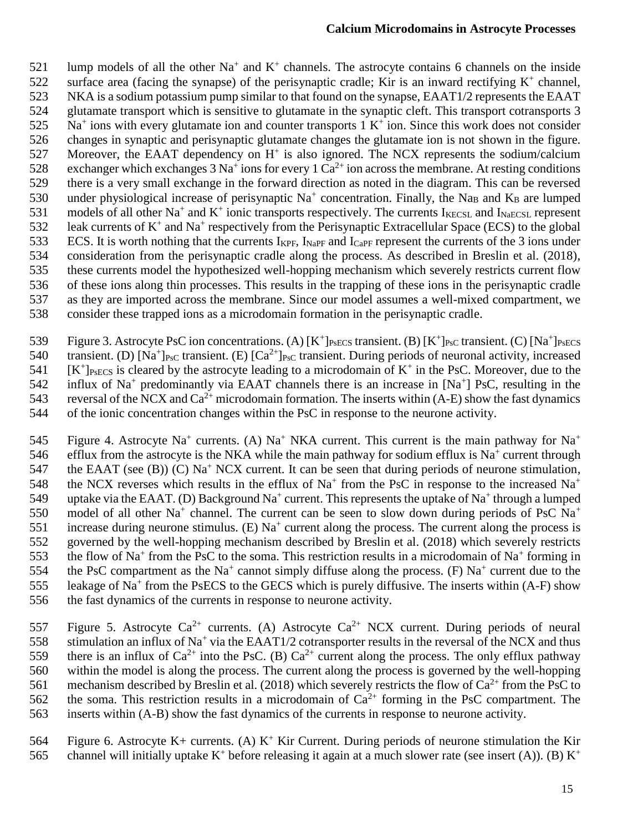521 lump models of all the other Na<sup>+</sup> and K<sup>+</sup> channels. The astrocyte contains 6 channels on the inside 522 surface area (facing the synapse) of the perisynaptic cradle; Kir is an inward rectifying  $K^+$  channel, 523 NKA is a sodium potassium pump similar to that found on the synapse, EAAT1/2 represents the EAAT 524 glutamate transport which is sensitive to glutamate in the synaptic cleft. This transport cotransports 3  $525$  Na<sup>+</sup> ions with every glutamate ion and counter transports 1 K<sup>+</sup> ion. Since this work does not consider 526 changes in synaptic and perisynaptic glutamate changes the glutamate ion is not shown in the figure. 527 Moreover, the EAAT dependency on  $H^+$  is also ignored. The NCX represents the sodium/calcium 528 exchanger which exchanges  $3$  Na<sup>+</sup> ions for every 1 Ca<sup>2+</sup> ion across the membrane. At resting conditions 529 there is a very small exchange in the forward direction as noted in the diagram. This can be reversed 530 under physiological increase of perisynaptic  $Na<sup>+</sup>$  concentration. Finally, the Na<sub>B</sub> and K<sub>B</sub> are lumped 531 models of all other Na<sup>+</sup> and K<sup>+</sup> ionic transports respectively. The currents I<sub>KECSL</sub> and I<sub>NaECSL</sub> represent 532 leak currents of  $K^+$  and Na<sup>+</sup> respectively from the Perisynaptic Extracellular Space (ECS) to the global 533 ECS. It is worth nothing that the currents  $I_{KPF}$ ,  $I_{NAPF}$  and  $I_{CaPF}$  represent the currents of the 3 ions under 534 consideration from the perisynaptic cradle along the process. As described in Breslin et al. (2018), 535 these currents model the hypothesized well-hopping mechanism which severely restricts current flow 536 of these ions along thin processes. This results in the trapping of these ions in the perisynaptic cradle 537 as they are imported across the membrane. Since our model assumes a well-mixed compartment, we 538 consider these trapped ions as a microdomain formation in the perisynaptic cradle.

539 Figure 3. Astrocyte PsC ion concentrations. (A)  $[K^+]_{PsECS}$  transient. (B)  $[K^+]_{PsC}$  transient. (C)  $[Na^+]_{PsECS}$ 540 transient. (D) [Na<sup>+</sup>]<sub>PsC</sub> transient. (E) [Ca<sup>2+</sup>]<sub>PsC</sub> transient. During periods of neuronal activity, increased  $541$  [K<sup>+</sup>]P<sub>SECS</sub> is cleared by the astrocyte leading to a microdomain of K<sup>+</sup> in the PsC. Moreover, due to the 542 influx of Na<sup>+</sup> predominantly via EAAT channels there is an increase in [Na<sup>+</sup>] PsC, resulting in the 543 reversal of the NCX and  $Ca^{2+}$  microdomain formation. The inserts within (A-E) show the fast dynamics 544 of the ionic concentration changes within the PsC in response to the neurone activity.

Figure 4. Astrocyte Na<sup>+</sup> currents. (A) Na<sup>+</sup> NKA current. This current is the main pathway for Na<sup>+</sup> 545 546 efflux from the astrocyte is the NKA while the main pathway for sodium efflux is  $Na<sup>+</sup>$  current through 547 the EAAT (see (B)) (C)  $Na<sup>+</sup> NCX$  current. It can be seen that during periods of neurone stimulation, the NCX reverses which results in the efflux of  $Na<sup>+</sup>$  from the PsC in response to the increased  $Na<sup>+</sup>$ 548 549 uptake via the EAAT. (D) Background Na<sup>+</sup> current. This represents the uptake of Na<sup>+</sup> through a lumped model of all other Na<sup>+</sup> channel. The current can be seen to slow down during periods of PsC Na<sup>+</sup> 550 551 increase during neurone stimulus. (E)  $Na<sup>+</sup>$  current along the process. The current along the process is 552 governed by the well-hopping mechanism described by Breslin et al. (2018) which severely restricts 553 the flow of Na<sup>+</sup> from the PsC to the soma. This restriction results in a microdomain of Na<sup>+</sup> forming in 554 the PsC compartment as the Na<sup>+</sup> cannot simply diffuse along the process. (F) Na<sup>+</sup> current due to the 555 leakage of Na<sup>+</sup> from the PsECS to the GECS which is purely diffusive. The inserts within (A-F) show 556 the fast dynamics of the currents in response to neurone activity.

557 Figure 5. Astrocyte  $Ca^{2+}$  currents. (A) Astrocyte  $Ca^{2+}$  NCX current. During periods of neural 558 stimulation an influx of Na<sup>+</sup> via the EAAT1/2 cotransporter results in the reversal of the NCX and thus there is an influx of  $Ca^{2+}$  into the PsC. (B)  $Ca^{2+}$  current along the process. The only efflux pathway 560 within the model is along the process. The current along the process is governed by the well-hopping 561 mechanism described by Breslin et al. (2018) which severely restricts the flow of  $Ca^{2+}$  from the PsC to 562 the soma. This restriction results in a microdomain of  $Ca^{2+}$  forming in the PsC compartment. The 563 inserts within (A-B) show the fast dynamics of the currents in response to neurone activity.

564 Figure 6. Astrocyte K+ currents. (A)  $K^+$  Kir Current. During periods of neurone stimulation the Kir channel will initially uptake  $K^+$  before releasing it again at a much slower rate (see insert (A)). (B)  $K^+$ 565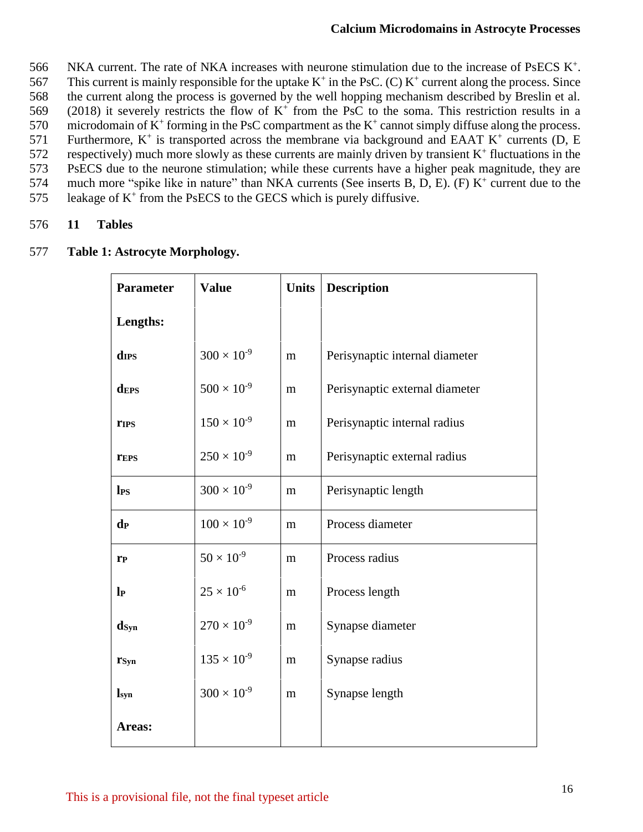566 NKA current. The rate of NKA increases with neurone stimulation due to the increase of PsECS  $K^+$ . 567 This current is mainly responsible for the uptake  $K^+$  in the PsC. (C)  $K^+$  current along the process. Since 568 the current along the process is governed by the well hopping mechanism described by Breslin et al. 569 (2018) it severely restricts the flow of  $K^+$  from the PsC to the soma. This restriction results in a 570 microdomain of  $K^+$  forming in the PsC compartment as the  $K^+$  cannot simply diffuse along the process. 571 Furthermore,  $K^+$  is transported across the membrane via background and EAAT  $K^+$  currents (D, E  $572$  respectively) much more slowly as these currents are mainly driven by transient  $K^+$  fluctuations in the 573 PsECS due to the neurone stimulation; while these currents have a higher peak magnitude, they are 574 much more "spike like in nature" than NKA currents (See inserts B, D, E). (F) K<sup>+</sup> current due to the 575 leakage of  $K^+$  from the PsECS to the GECS which is purely diffusive.

#### 576 **11 Tables**

### 577 **Table 1: Astrocyte Morphology.**

| Parameter                 | <b>Value</b>         | <b>Units</b> | <b>Description</b>             |
|---------------------------|----------------------|--------------|--------------------------------|
| Lengths:                  |                      |              |                                |
| d <sub>IPS</sub>          | $300 \times 10^{-9}$ | m            | Perisynaptic internal diameter |
| <b>dEPS</b>               | $500 \times 10^{-9}$ | m            | Perisynaptic external diameter |
| <b>TIPS</b>               | $150 \times 10^{-9}$ | m            | Perisynaptic internal radius   |
| <b>TEPS</b>               | $250 \times 10^{-9}$ | m            | Perisynaptic external radius   |
| $\mathbf{l}_{\text{PS}}$  | $300 \times 10^{-9}$ | m            | Perisynaptic length            |
| d <sub>P</sub>            | $100 \times 10^{-9}$ | m            | Process diameter               |
| $\mathbf{r}_{\mathbf{P}}$ | $50 \times 10^{-9}$  | m            | Process radius                 |
| $\mathbf{p}$              | $25 \times 10^{-6}$  | m            | Process length                 |
| $\mathbf{d}_{\text{Syn}}$ | $270 \times 10^{-9}$ | m            | Synapse diameter               |
| rsyn                      | $135 \times 10^{-9}$ | m            | Synapse radius                 |
| $\mathbf{l}_{syn}$        | $300 \times 10^{-9}$ | m            | Synapse length                 |
| Areas:                    |                      |              |                                |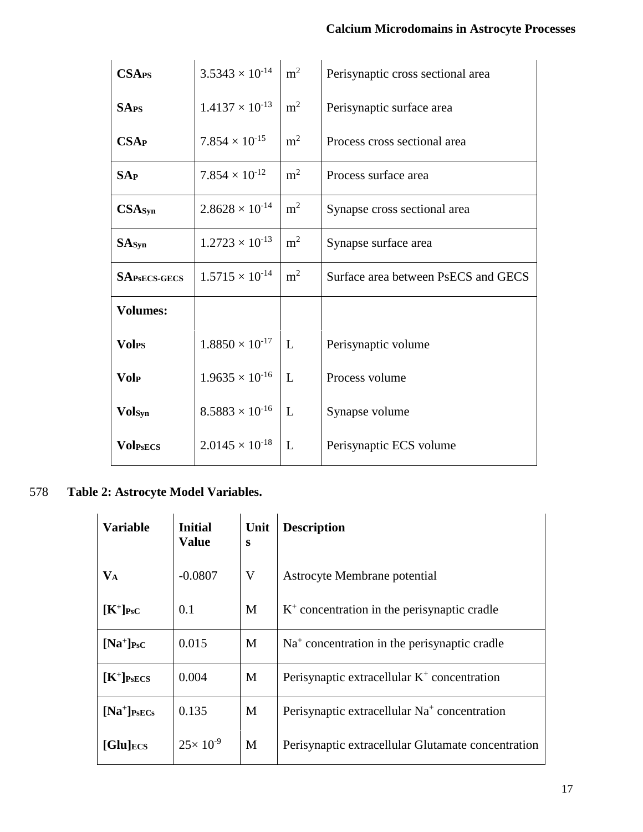| <b>CSA<sub>PS</sub></b> | $3.5343 \times 10^{-14}$ | m <sup>2</sup> | Perisynaptic cross sectional area   |
|-------------------------|--------------------------|----------------|-------------------------------------|
| <b>SAPS</b>             | $1.4137 \times 10^{-13}$ | m <sup>2</sup> | Perisynaptic surface area           |
| <b>CSAP</b>             | $7.854 \times 10^{-15}$  | m <sup>2</sup> | Process cross sectional area        |
| SAP                     | $7.854 \times 10^{-12}$  | m <sup>2</sup> | Process surface area                |
| CSAsyn                  | $2.8628 \times 10^{-14}$ | m <sup>2</sup> | Synapse cross sectional area        |
| SAsyn                   | $1.2723 \times 10^{-13}$ | m <sup>2</sup> | Synapse surface area                |
| <b>SAPSECS-GECS</b>     | $1.5715 \times 10^{-14}$ | m <sup>2</sup> | Surface area between PsECS and GECS |
| <b>Volumes:</b>         |                          |                |                                     |
| <b>Vol<sub>PS</sub></b> | $1.8850 \times 10^{-17}$ | L              | Perisynaptic volume                 |
| <b>Volp</b>             | $1.9635 \times 10^{-16}$ | L              | Process volume                      |
| Volsyn                  | $8.5883 \times 10^{-16}$ | L              | Synapse volume                      |
| <b>Volpsecs</b>         | $2.0145 \times 10^{-18}$ | L              | Perisynaptic ECS volume             |

## 578 **Table 2: Astrocyte Model Variables.**

| <b>Variable</b>         | <b>Initial</b><br><b>Value</b> | Unit<br>S | <b>Description</b>                                       |
|-------------------------|--------------------------------|-----------|----------------------------------------------------------|
| $\mathbf{V}_\mathbf{A}$ | $-0.0807$                      | V         | Astrocyte Membrane potential                             |
| $[K^+]_{\text{PsC}}$    | 0.1                            | M         | $K+$ concentration in the perisynaptic cradle            |
| $[Na^+]_{\text{PsC}}$   | 0.015                          | M         | $Na+ concentration in the perisynaptic cradle$           |
| $[K^+]_{\text{PsECS}}$  | 0.004                          | M         | Perisynaptic extracellular $K^+$ concentration           |
| $[Na^+]_{\text{PsECs}}$ | 0.135                          | M         | Perisynaptic extracellular Na <sup>+</sup> concentration |
| $[Glu]_{\text{ECS}}$    | $25 \times 10^{-9}$            | M         | Perisynaptic extracellular Glutamate concentration       |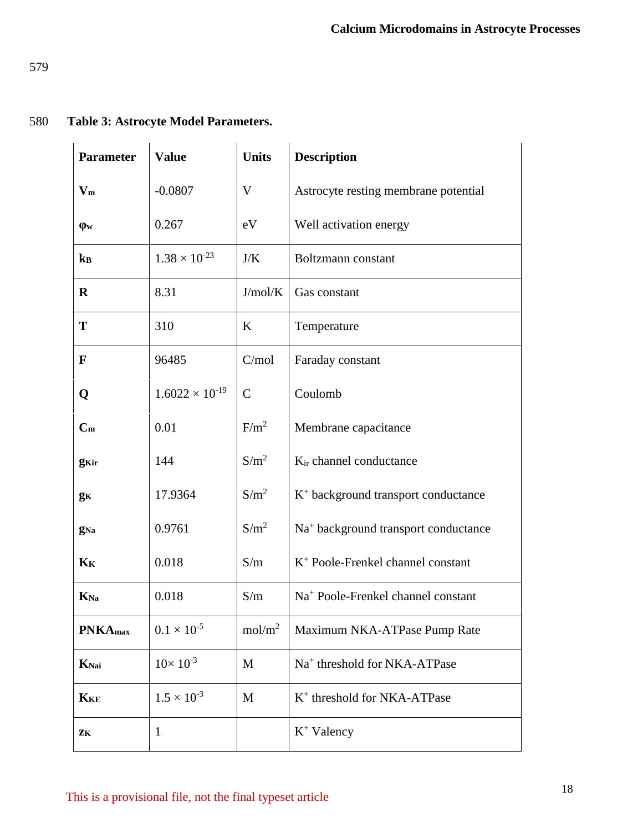### 580 **Table 3: Astrocyte Model Parameters.**

| <b>Parameter</b>           | <b>Value</b>             | <b>Units</b>       | <b>Description</b>                               |
|----------------------------|--------------------------|--------------------|--------------------------------------------------|
| $V_m$                      | $-0.0807$                | V                  | Astrocyte resting membrane potential             |
| $\phi$ w                   | 0.267                    | eV                 | Well activation energy                           |
| $\mathbf{k}_{\mathbf{B}}$  | $1.38 \times 10^{-23}$   | J/K                | Boltzmann constant                               |
| $\bf R$                    | 8.31                     | J/mol/K            | Gas constant                                     |
| T                          | 310                      | K                  | Temperature                                      |
| F                          | 96485                    | C/mol              | Faraday constant                                 |
| Q                          | $1.6022 \times 10^{-19}$ | $\mathcal{C}$      | Coulomb                                          |
| $C_m$                      | 0.01                     | F/m <sup>2</sup>   | Membrane capacitance                             |
| <b>g</b> Kir               | 144                      | $S/m^2$            | K <sub>ir</sub> channel conductance              |
| gк                         | 17.9364                  | $S/m^2$            | $K^+$ background transport conductance           |
| <b>g</b> Na                | 0.9761                   | $S/m^2$            | Na <sup>+</sup> background transport conductance |
| $\mathbf{K}_{\mathbf{K}}$  | 0.018                    | S/m                | $K^+$ Poole-Frenkel channel constant             |
| $K_{\text{Na}}$            | 0.018                    | S/m                | Na <sup>+</sup> Poole-Frenkel channel constant   |
| <b>PNKA</b> <sub>max</sub> | $0.1 \times 10^{-5}$     | mol/m <sup>2</sup> | Maximum NKA-ATPase Pump Rate                     |
| KNai                       | $10 \times 10^{-3}$      | M                  | Na <sup>+</sup> threshold for NKA-ATPase         |
| <b>KKE</b>                 | $1.5 \times 10^{-3}$     | M                  | K <sup>+</sup> threshold for NKA-ATPase          |
| ZK                         | $\mathbf{1}$             |                    | $K^+$ Valency                                    |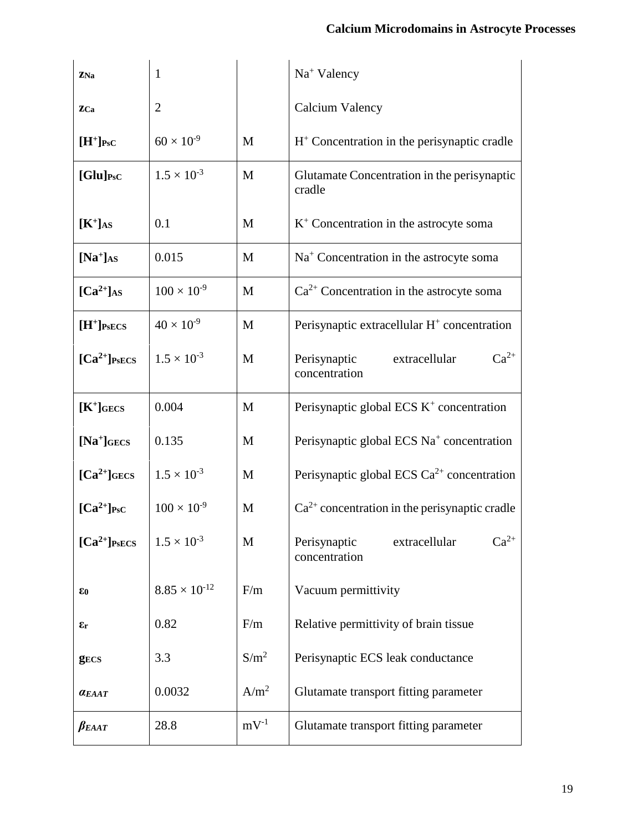| ZNa                                  | $\mathbf{1}$           |                  | $Na+ Valency$                                               |
|--------------------------------------|------------------------|------------------|-------------------------------------------------------------|
| ZCa                                  | $\overline{2}$         |                  | Calcium Valency                                             |
| $[H^+]_{\text{PsC}}$                 | $60 \times 10^{-9}$    | M                | $H+$ Concentration in the perisynaptic cradle               |
| $[Glu]_{\text{PsC}}$                 | $1.5 \times 10^{-3}$   | M                | Glutamate Concentration in the perisynaptic<br>cradle       |
| $[K^+]$ AS                           | 0.1                    | M                | $K^+$ Concentration in the astrocyte soma                   |
| $[Na^+]$ AS                          | 0.015                  | M                | $Na+$ Concentration in the astrocyte soma                   |
| $[\text{Ca}^{2+}]$ AS                | $100 \times 10^{-9}$   | M                | $Ca2+$ Concentration in the astrocyte soma                  |
| $[H^+]_{\text{PsECS}}$               | $40 \times 10^{-9}$    | M                | Perisynaptic extracellular H <sup>+</sup> concentration     |
| $[\text{Ca}^{2+}]$ PsECS             | $1.5 \times 10^{-3}$   | $\mathbf{M}$     | $Ca^{2+}$<br>Perisynaptic<br>extracellular<br>concentration |
| $[K^+]$ GECS                         | 0.004                  | M                | Perisynaptic global ECS $K^+$ concentration                 |
| $[Na^+]$ GECS                        | 0.135                  | M                | Perisynaptic global ECS Na <sup>+</sup> concentration       |
| $[\text{Ca}^{2+}]$ GECS              | $1.5 \times 10^{-3}$   | M                | Perisynaptic global ECS $Ca^{2+}$ concentration             |
| $\lceil Ca^{2+} \rceil_{\text{PsC}}$ | $100 \times 10^{-9}$   | M                | $Ca^{2+}$ concentration in the perisynaptic cradle          |
| $[Ca^{2+}]$ PsECS                    | $1.5 \times 10^{-3}$   | M                | $Ca^{2+}$<br>Perisynaptic<br>extracellular<br>concentration |
| $\epsilon_0$                         | $8.85 \times 10^{-12}$ | F/m              | Vacuum permittivity                                         |
| εr                                   | 0.82                   | F/m              | Relative permittivity of brain tissue                       |
| <b>gECS</b>                          | 3.3                    | $S/m^2$          | Perisynaptic ECS leak conductance                           |
| <b>a</b> EAAT                        | 0.0032                 | A/m <sup>2</sup> | Glutamate transport fitting parameter                       |
| $\beta_{E A A T}$                    | 28.8                   | $mV^{-1}$        | Glutamate transport fitting parameter                       |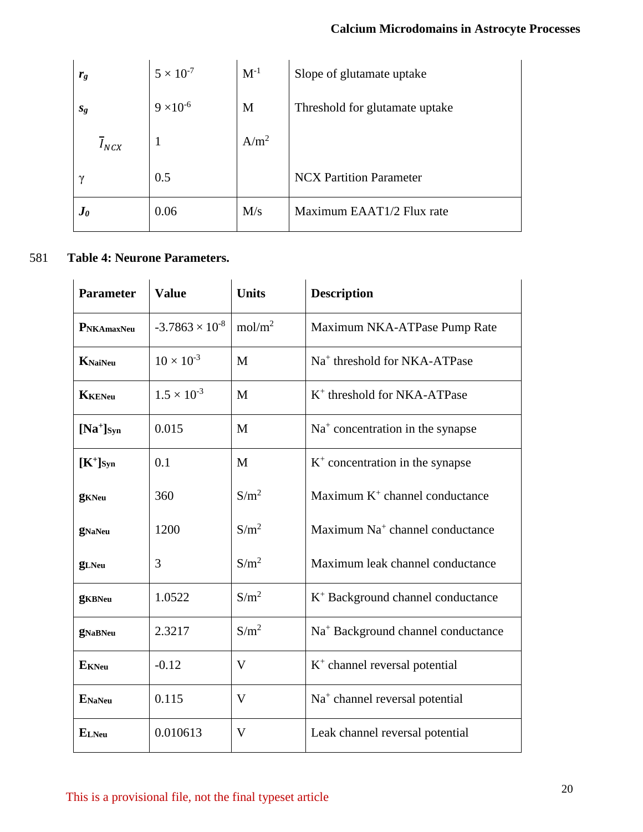| $r_{g}$                | $5 \times 10^{-7}$ | $\mathbf{M}^{\text{-}1}$ | Slope of glutamate uptake      |
|------------------------|--------------------|--------------------------|--------------------------------|
| $s_{g}$                | $9 \times 10^{-6}$ | M                        | Threshold for glutamate uptake |
| $I_{NCX}$              |                    | $A/m^2$                  |                                |
| $\gamma$               | 0.5                |                          | <b>NCX Partition Parameter</b> |
| $\bm{J}_{\bm{\theta}}$ | 0.06               | M/s                      | Maximum EAAT1/2 Flux rate      |

## 581 **Table 4: Neurone Parameters.**

| <b>Parameter</b> | <b>Value</b>             | <b>Units</b>       | <b>Description</b>                             |
|------------------|--------------------------|--------------------|------------------------------------------------|
| PNKAmaxNeu       | $-3.7863 \times 10^{-8}$ | mol/m <sup>2</sup> | Maximum NKA-ATPase Pump Rate                   |
| KNaiNeu          | $10 \times 10^{-3}$      | M                  | Na <sup>+</sup> threshold for NKA-ATPase       |
| <b>KKENeu</b>    | $1.5 \times 10^{-3}$     | M                  | $K^+$ threshold for NKA-ATPase                 |
| $[Na^+]_{Syn}$   | 0.015                    | M                  | $Na+$ concentration in the synapse             |
| $[K^+]_{Syn}$    | 0.1                      | M                  | $K+$ concentration in the synapse              |
| <b>g</b> KNeu    | 360                      | $S/m^2$            | Maximum K <sup>+</sup> channel conductance     |
| <b>gNaNeu</b>    | 1200                     | $S/m^2$            | Maximum Na <sup>+</sup> channel conductance    |
| <b>g</b> LNeu    | 3                        | $S/m^2$            | Maximum leak channel conductance               |
| <b>g</b> KBNeu   | 1.0522                   | $S/m^2$            | $K^+$ Background channel conductance           |
| <b>gNaBNeu</b>   | 2.3217                   | $S/m^2$            | Na <sup>+</sup> Background channel conductance |
| <b>E</b> KNeu    | $-0.12$                  | $\mathbf V$        | $K^+$ channel reversal potential               |
| <b>ENaNeu</b>    | 0.115                    | $\mathbf{V}$       | Na <sup>+</sup> channel reversal potential     |
| $E_{LNeu}$       | 0.010613                 | $\mathbf V$        | Leak channel reversal potential                |